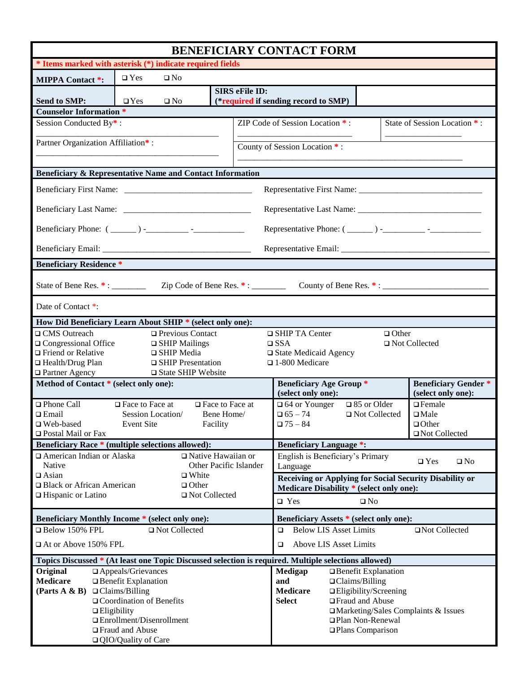| BENEFICIARY CONTACT FORM                                                                                                                                                                                                                                                                                               |                                                                                             |                        |                                                                                                     |                                                                               |                                                |                                                                    |
|------------------------------------------------------------------------------------------------------------------------------------------------------------------------------------------------------------------------------------------------------------------------------------------------------------------------|---------------------------------------------------------------------------------------------|------------------------|-----------------------------------------------------------------------------------------------------|-------------------------------------------------------------------------------|------------------------------------------------|--------------------------------------------------------------------|
| * Items marked with asterisk (*) indicate required fields                                                                                                                                                                                                                                                              |                                                                                             |                        |                                                                                                     |                                                                               |                                                |                                                                    |
| <b>MIPPA Contact *:</b>                                                                                                                                                                                                                                                                                                | $\square$ Yes<br>$\square$ No                                                               |                        |                                                                                                     |                                                                               |                                                |                                                                    |
| <b>Send to SMP:</b>                                                                                                                                                                                                                                                                                                    | <b>SIRS</b> eFile ID:<br>(*required if sending record to SMP)<br>$\Box$ Yes<br>$\square$ No |                        |                                                                                                     |                                                                               |                                                |                                                                    |
| <b>Counselor Information *</b>                                                                                                                                                                                                                                                                                         |                                                                                             |                        |                                                                                                     |                                                                               |                                                |                                                                    |
| Session Conducted By*:                                                                                                                                                                                                                                                                                                 |                                                                                             |                        | ZIP Code of Session Location *:                                                                     |                                                                               | State of Session Location *:                   |                                                                    |
| Partner Organization Affiliation*:                                                                                                                                                                                                                                                                                     |                                                                                             |                        | County of Session Location *:                                                                       |                                                                               |                                                |                                                                    |
|                                                                                                                                                                                                                                                                                                                        |                                                                                             |                        |                                                                                                     |                                                                               |                                                |                                                                    |
| Beneficiary & Representative Name and Contact Information                                                                                                                                                                                                                                                              |                                                                                             |                        |                                                                                                     |                                                                               |                                                |                                                                    |
|                                                                                                                                                                                                                                                                                                                        |                                                                                             |                        |                                                                                                     |                                                                               |                                                |                                                                    |
|                                                                                                                                                                                                                                                                                                                        |                                                                                             |                        |                                                                                                     |                                                                               |                                                |                                                                    |
|                                                                                                                                                                                                                                                                                                                        |                                                                                             |                        |                                                                                                     |                                                                               |                                                |                                                                    |
|                                                                                                                                                                                                                                                                                                                        |                                                                                             |                        |                                                                                                     |                                                                               |                                                |                                                                    |
| <b>Beneficiary Residence *</b>                                                                                                                                                                                                                                                                                         |                                                                                             |                        |                                                                                                     |                                                                               |                                                |                                                                    |
|                                                                                                                                                                                                                                                                                                                        |                                                                                             |                        |                                                                                                     |                                                                               |                                                |                                                                    |
| Date of Contact *:                                                                                                                                                                                                                                                                                                     |                                                                                             |                        |                                                                                                     |                                                                               |                                                |                                                                    |
| How Did Beneficiary Learn About SHIP * (select only one):                                                                                                                                                                                                                                                              |                                                                                             |                        |                                                                                                     |                                                                               |                                                |                                                                    |
| □ CMS Outreach<br>□ Previous Contact<br>□ SHIP TA Center<br>$\Box$ Other<br>□ Congressional Office<br>$\Box$ SHIP Mailings<br>$\Box$ Not Collected<br>$\square$ SSA<br>□ Friend or Relative<br>□ SHIP Media<br>$\Box$ State Medicaid Agency<br>□ Health/Drug Plan<br>$\Box$ SHIP Presentation<br>$\Box$ 1-800 Medicare |                                                                                             |                        |                                                                                                     |                                                                               |                                                |                                                                    |
| □ Partner Agency<br>□ State SHIP Website<br>Method of Contact * (select only one):<br><b>Beneficiary Age Group*</b>                                                                                                                                                                                                    |                                                                                             |                        |                                                                                                     |                                                                               |                                                |                                                                    |
|                                                                                                                                                                                                                                                                                                                        |                                                                                             |                        |                                                                                                     | (select only one):                                                            |                                                | <b>Beneficiary Gender*</b><br>(select only one):                   |
| □ Phone Call<br>$\Box$ Email<br>□ Web-based<br>$\Box$ Postal Mail or Fax                                                                                                                                                                                                                                               | $\Box$ Face to Face at<br>Session Location/<br><b>Event Site</b>                            | Bene Home/<br>Facility | $\Box$ Face to Face at                                                                              | □ 64 or Younger<br>$\Box 65 - 74$<br>$\Box$ 75 – 84                           | $\Box$ 85 or Older<br>$\Box$ Not Collected     | $\Box$ Female<br>$\square$ Male<br>$\Box$ Other<br>□ Not Collected |
| Beneficiary Race * (multiple selections allowed):<br><b>Beneficiary Language *:</b>                                                                                                                                                                                                                                    |                                                                                             |                        |                                                                                                     |                                                                               |                                                |                                                                    |
| American Indian or Alaska<br>$\Box$ Native Hawaiian or<br>Native<br>Other Pacific Islander<br>$\Box$ Asian<br>$\Box$ White<br>□ Black or African American<br>$\Box$ Other<br>$\Box$ Hispanic or Latino<br>□ Not Collected                                                                                              |                                                                                             |                        |                                                                                                     | English is Beneficiary's Primary<br>$\square$ Yes<br>$\square$ No<br>Language |                                                |                                                                    |
|                                                                                                                                                                                                                                                                                                                        |                                                                                             |                        | Receiving or Applying for Social Security Disability or<br>Medicare Disability * (select only one): |                                                                               |                                                |                                                                    |
|                                                                                                                                                                                                                                                                                                                        |                                                                                             |                        | $\square$ Yes<br>$\square$ No                                                                       |                                                                               |                                                |                                                                    |
| Beneficiary Monthly Income * (select only one):                                                                                                                                                                                                                                                                        |                                                                                             |                        | Beneficiary Assets * (select only one):                                                             |                                                                               |                                                |                                                                    |
| $\Box$ Below 150% FPL<br>□ Not Collected                                                                                                                                                                                                                                                                               |                                                                                             |                        | <b>Below LIS Asset Limits</b><br>□Not Collected<br>$\Box$                                           |                                                                               |                                                |                                                                    |
| $\Box$ At or Above 150% FPL                                                                                                                                                                                                                                                                                            |                                                                                             |                        |                                                                                                     | Above LIS Asset Limits<br>$\Box$                                              |                                                |                                                                    |
| Topics Discussed * (At least one Topic Discussed selection is required. Multiple selections allowed)                                                                                                                                                                                                                   |                                                                                             |                        |                                                                                                     |                                                                               |                                                |                                                                    |
| Original<br>$\Box$ Appeals/Grievances<br><b>Medicare</b><br>$\Box$ Benefit Explanation                                                                                                                                                                                                                                 |                                                                                             |                        |                                                                                                     | Medigap<br>and                                                                | □ Benefit Explanation<br>$\Box$ Claims/Billing |                                                                    |
| (Parts A & B)<br>$\Box$ Claims/Billing                                                                                                                                                                                                                                                                                 |                                                                                             |                        |                                                                                                     | <b>Medicare</b>                                                               | □Eligibility/Screening                         |                                                                    |
| □ Coordination of Benefits                                                                                                                                                                                                                                                                                             |                                                                                             |                        | <b>Select</b>                                                                                       | □ Fraud and Abuse                                                             |                                                |                                                                    |
| $\Box$ Eligibility                                                                                                                                                                                                                                                                                                     |                                                                                             |                        |                                                                                                     |                                                                               |                                                | $\Box$ Marketing/Sales Complaints & Issues                         |
| $\Box$ Enrollment/Disenrollment<br>□ Fraud and Abuse                                                                                                                                                                                                                                                                   |                                                                                             |                        |                                                                                                     |                                                                               | □ Plan Non-Renewal<br>□ Plans Comparison       |                                                                    |
| □ QIO/Quality of Care                                                                                                                                                                                                                                                                                                  |                                                                                             |                        |                                                                                                     |                                                                               |                                                |                                                                    |